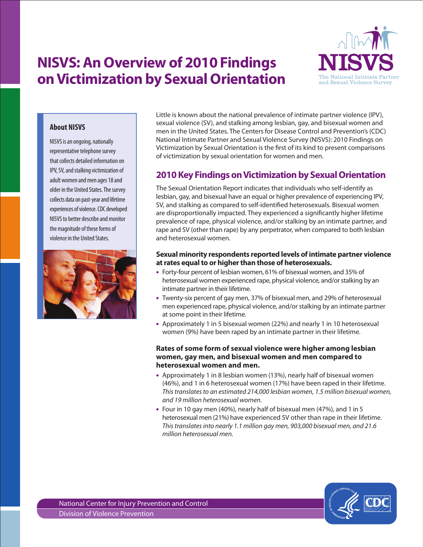# **on Victimization by Sexual Orientation NISVS: An Overview of 2010 Findings**



# **About NISVS**

NISVS is an ongoing, nationally representative telephone survey that collects detailed information on IPV, SV, and stalking victimization of adult women and men ages 18 and older in the United States. The survey collects data on past-year and lifetime experiences of violence. CDC developed NISVS to better describe and monitor the magnitude of these forms of violence in the United States.



Little is known about the national prevalence of intimate partner violence (IPV), sexual violence (SV), and stalking among lesbian, gay, and bisexual women and men in the United States. The Centers for Disease Control and Prevention's (CDC) National Intimate Partner and Sexual Violence Survey (NISVS): 2010 Findings on Victimization by Sexual Orientation is the first of its kind to present comparisons of victimization by sexual orientation for women and men.

# **2010 Key Findings on Victimization by Sexual Orientation**

The Sexual Orientation Report indicates that individuals who self-identify as lesbian, gay, and bisexual have an equal or higher prevalence of experiencing IPV, SV, and stalking as compared to self-identified heterosexuals. Bisexual women are disproportionally impacted. They experienced a significantly higher lifetime prevalence of rape, physical violence, and/or stalking by an intimate partner, and rape and SV (other than rape) by any perpetrator, when compared to both lesbian and heterosexual women.

## **at rates equal to or higher than those of heterosexuals. Sexual minority respondents reported levels of intimate partner violence**

- Forty-four percent of lesbian women, 61% of bisexual women, and 35% of heterosexual women experienced rape, physical violence, and/or stalking by an intimate partner in their lifetime.
- Twenty-six percent of gay men, 37% of bisexual men, and 29% of heterosexual men experienced rape, physical violence, and/or stalking by an intimate partner at some point in their lifetime.
- • Approximately 1 in 5 bisexual women (22%) and nearly 1 in 10 heterosexual women (9%) have been raped by an intimate partner in their lifetime.

### **Rates of some form of sexual violence were higher among lesbian women, gay men, and bisexual women and men compared to heterosexual women and men.**

- Approximately 1 in 8 lesbian women (13%), nearly half of bisexual women (46%), and 1 in 6 heterosexual women (17%) have been raped in their lifetime. *This translates to an estimated 214,000 lesbian women, 1.5 million bisexual women, and 19 million heterosexual women.*
- Four in 10 gay men (40%), nearly half of bisexual men (47%), and 1 in 5 heterosexual men (21%) have experienced SV other than rape in their lifetime. *This translates into nearly 1.1 million gay men, 903,000 bisexual men, and 21.6 million heterosexual men.*